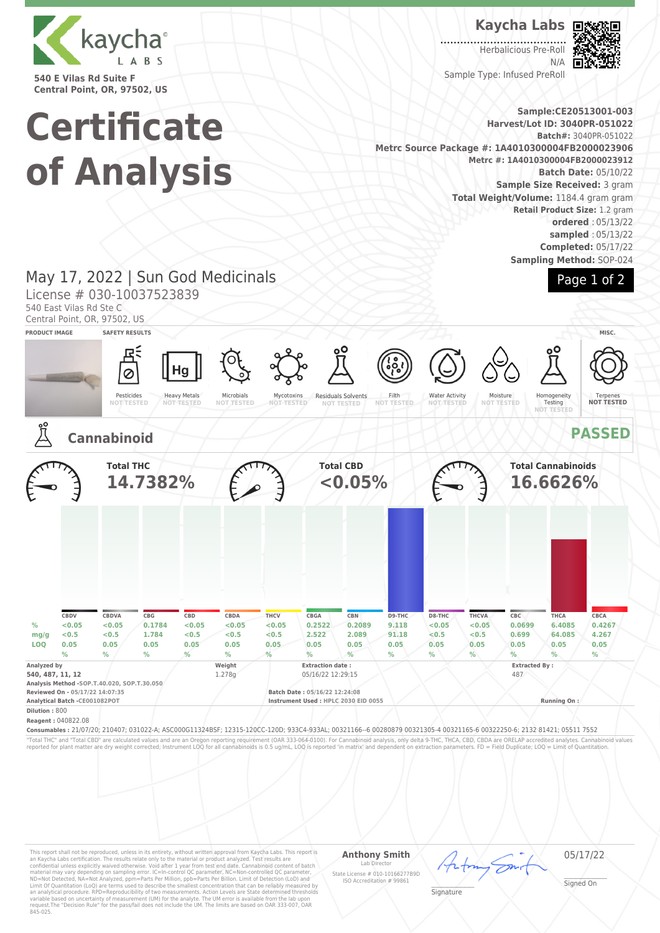

**540 E Vilas Rd Suite F Central Point, OR, 97502, US**

# **Certificate of Analysis**

**Kaycha Labs**

 $1.1.1.1.1$ Herbalicious Pre-Roll N/A Sample Type: Infused PreRoll



Page 1 of 2

**Sample:CE20513001-003 Harvest/Lot ID: 3040PR-051022 Batch#:** 3040PR-051022 **Metrc Source Package #: 1A4010300004FB2000023906 Metrc #: 1A4010300004FB2000023912 Batch Date:** 05/10/22 **Sample Size Received:** 3 gram **Total Weight/Volume:** 1184.4 gram gram **Retail Product Size:** 1.2 gram **ordered** : 05/13/22 **sampled** : 05/13/22 **Completed:** 05/17/22 **Sampling Method:** SOP-024

## May 17, 2022 | Sun God Medicinals

License # 030-10037523839

540 East Vilas Rd Ste C

Central Point, OR, 97502, US





This report shall not be reproduced, unless in its entirety, without written approval from Kaycha Labs. This report is<br>an Kaycha Labs certification. The results relate only to the material or product analyzed. Test result

#### **Anthony Smith** Lab Director State License # 010-10166277B9D ISO Accreditation # 99861

05/17/22

\_\_\_\_\_\_\_\_\_\_\_\_\_\_\_\_\_\_\_ Signature

\_\_\_\_\_\_\_\_\_\_\_\_\_\_\_\_\_\_\_ Signed On